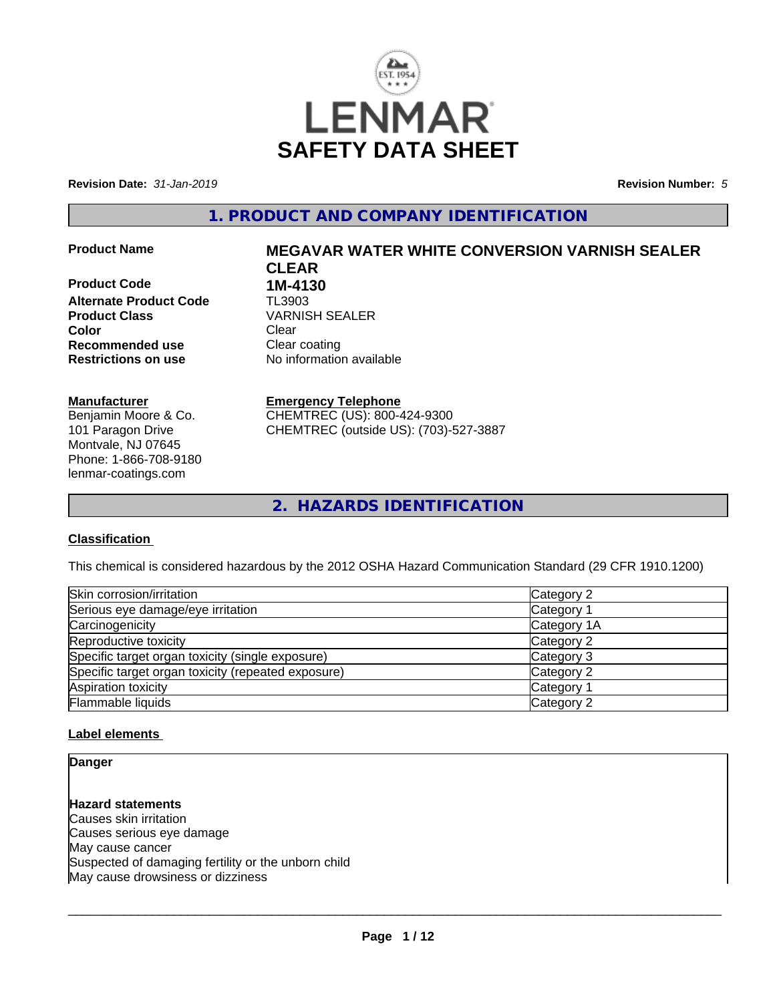

**Revision Date:** *31-Jan-2019* **Revision Number:** *5*

# **1. PRODUCT AND COMPANY IDENTIFICATION**

**Product Code 1M-4130<br>Alternate Product Code 11 TL3903 Alternate Product Code Product Class** VARNISH SEALER **Color** Clear Clear **Recommended use** Clear coating **Restrictions on use** No information available

#### **Manufacturer**

Benjamin Moore & Co. 101 Paragon Drive Montvale, NJ 07645 Phone: 1-866-708-9180 lenmar-coatings.com

# **Product Name MEGAVAR WATER WHITE CONVERSION VARNISH SEALER CLEAR**

**Emergency Telephone**

CHEMTREC (US): 800-424-9300 CHEMTREC (outside US): (703)-527-3887

**2. HAZARDS IDENTIFICATION**

#### **Classification**

This chemical is considered hazardous by the 2012 OSHA Hazard Communication Standard (29 CFR 1910.1200)

| Skin corrosion/irritation                          | Category 2  |
|----------------------------------------------------|-------------|
| Serious eye damage/eye irritation                  | Category 1  |
| Carcinogenicity                                    | Category 1A |
| Reproductive toxicity                              | Category 2  |
| Specific target organ toxicity (single exposure)   | Category 3  |
| Specific target organ toxicity (repeated exposure) | Category 2  |
| Aspiration toxicity                                | Category 1  |
| Flammable liquids                                  | Category 2  |

#### **Label elements**

**Danger**

**Hazard statements** Causes skin irritation Causes serious eye damage May cause cancer Suspected of damaging fertility or the unborn child May cause drowsiness or dizziness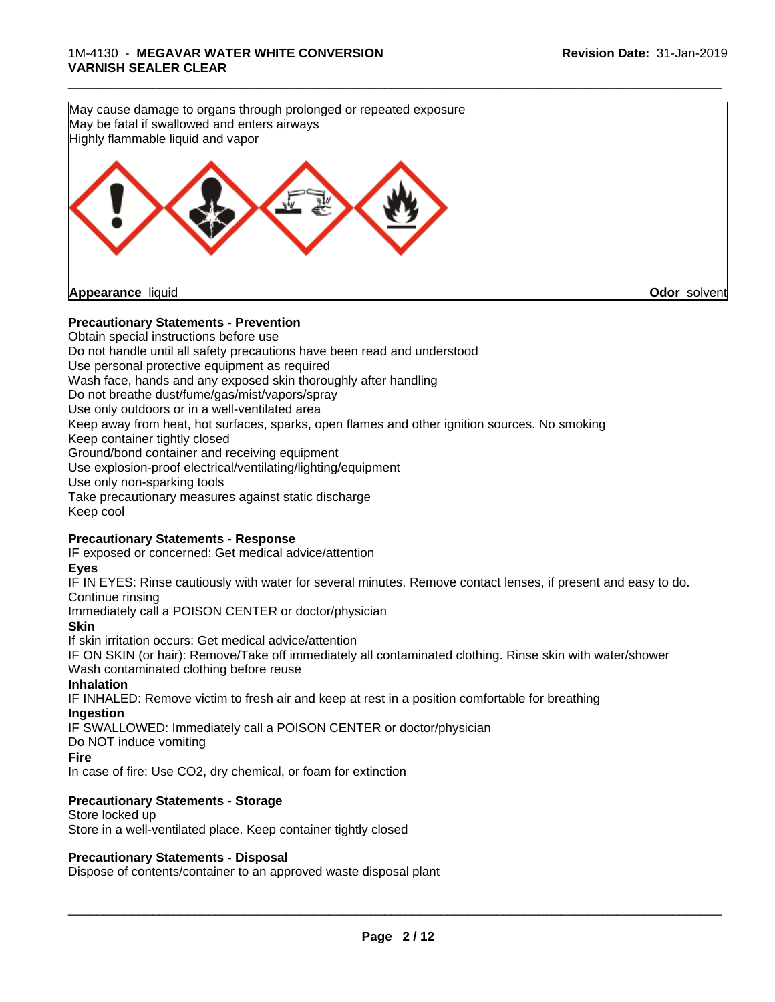**Precautionary Statements - Prevention** Obtain special instructions before use Do not handle until all safety precautions have been read and understood Use personal protective equipment as required Wash face, hands and any exposed skin thoroughly after handling Do not breathe dust/fume/gas/mist/vapors/spray Use only outdoors or in a well-ventilated area Keep away from heat, hot surfaces, sparks, open flames and other ignition sources. No smoking Keep container tightly closed Ground/bond container and receiving equipment May cause damage to organs through prolonged or repeated exposure May be fatal if swallowed and enters airways Highly flammable liquid and vapor **Appearance** liquid **Odor** solvent

Use explosion-proof electrical/ventilating/lighting/equipment Use only non-sparking tools Take precautionary measures against static discharge Keep cool

#### **Precautionary Statements - Response**

IF exposed or concerned: Get medical advice/attention

#### **Eyes**

IF IN EYES: Rinse cautiously with water for several minutes. Remove contact lenses, if present and easy to do. Continue rinsing

Immediately call a POISON CENTER or doctor/physician

**Skin**

If skin irritation occurs: Get medical advice/attention

IF ON SKIN (or hair): Remove/Take off immediately all contaminated clothing. Rinse skin with water/shower Wash contaminated clothing before reuse

#### **Inhalation**

IF INHALED: Remove victim to fresh air and keep at rest in a position comfortable for breathing **Ingestion**

IF SWALLOWED: Immediately call a POISON CENTER or doctor/physician

Do NOT induce vomiting

#### **Fire**

In case of fire: Use CO2, dry chemical, or foam for extinction

## **Precautionary Statements - Storage**

Store locked up Store in a well-ventilated place. Keep container tightly closed

## **Precautionary Statements - Disposal**

Dispose of contents/container to an approved waste disposal plant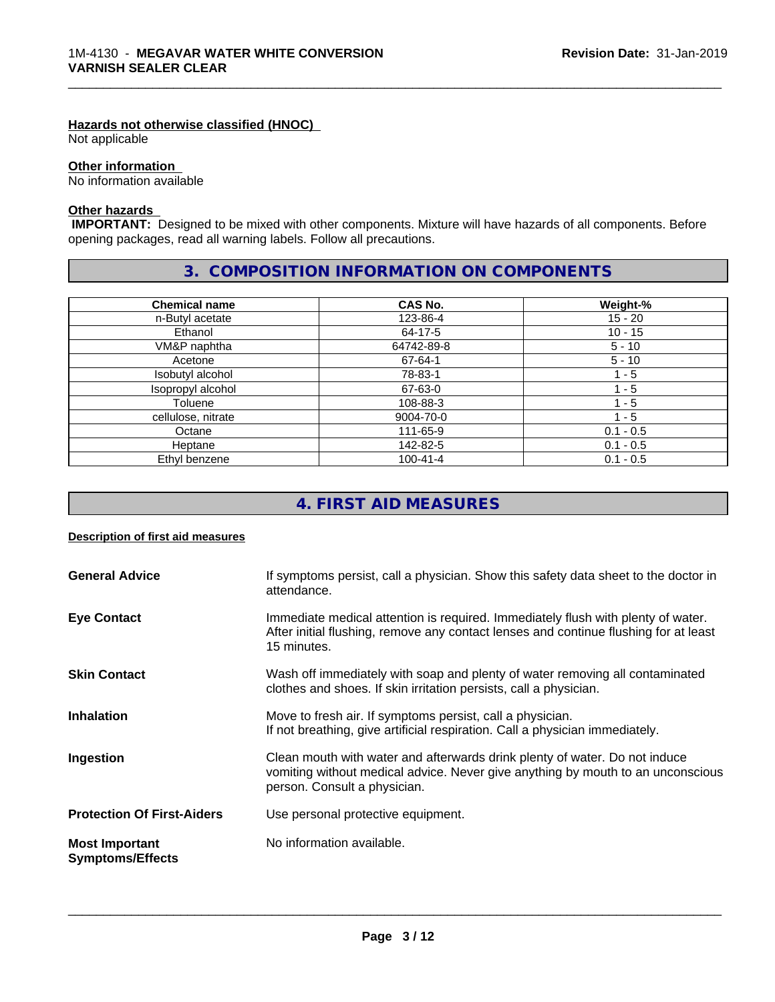#### **Hazards not otherwise classified (HNOC)**

Not applicable

#### **Other information**

No information available

## **Other hazards**

 **IMPORTANT:** Designed to be mixed with other components. Mixture will have hazards of all components. Before opening packages, read all warning labels. Follow all precautions.

\_\_\_\_\_\_\_\_\_\_\_\_\_\_\_\_\_\_\_\_\_\_\_\_\_\_\_\_\_\_\_\_\_\_\_\_\_\_\_\_\_\_\_\_\_\_\_\_\_\_\_\_\_\_\_\_\_\_\_\_\_\_\_\_\_\_\_\_\_\_\_\_\_\_\_\_\_\_\_\_\_\_\_\_\_\_\_\_\_\_\_\_\_

# **3. COMPOSITION INFORMATION ON COMPONENTS**

| <b>Chemical name</b> | CAS No.        | Weight-%    |
|----------------------|----------------|-------------|
| n-Butyl acetate      | 123-86-4       | $15 - 20$   |
| Ethanol              | 64-17-5        | $10 - 15$   |
| VM&P naphtha         | 64742-89-8     | $5 - 10$    |
| Acetone              | 67-64-1        | $5 - 10$    |
| Isobutyl alcohol     | 78-83-1        | 1 - 5       |
| Isopropyl alcohol    | 67-63-0        | l - 5       |
| Toluene              | 108-88-3       | - 5         |
| cellulose, nitrate   | 9004-70-0      | $1 - 5$     |
| Octane               | 111-65-9       | $0.1 - 0.5$ |
| Heptane              | 142-82-5       | $0.1 - 0.5$ |
| Ethyl benzene        | $100 - 41 - 4$ | $0.1 - 0.5$ |

# **4. FIRST AID MEASURES**

#### **Description of first aid measures**

| <b>General Advice</b>                            | If symptoms persist, call a physician. Show this safety data sheet to the doctor in<br>attendance.                                                                                            |
|--------------------------------------------------|-----------------------------------------------------------------------------------------------------------------------------------------------------------------------------------------------|
| <b>Eye Contact</b>                               | Immediate medical attention is required. Immediately flush with plenty of water.<br>After initial flushing, remove any contact lenses and continue flushing for at least<br>15 minutes.       |
| <b>Skin Contact</b>                              | Wash off immediately with soap and plenty of water removing all contaminated<br>clothes and shoes. If skin irritation persists, call a physician.                                             |
| <b>Inhalation</b>                                | Move to fresh air. If symptoms persist, call a physician.<br>If not breathing, give artificial respiration. Call a physician immediately.                                                     |
| Ingestion                                        | Clean mouth with water and afterwards drink plenty of water. Do not induce<br>vomiting without medical advice. Never give anything by mouth to an unconscious<br>person. Consult a physician. |
| <b>Protection Of First-Aiders</b>                | Use personal protective equipment.                                                                                                                                                            |
| <b>Most Important</b><br><b>Symptoms/Effects</b> | No information available.                                                                                                                                                                     |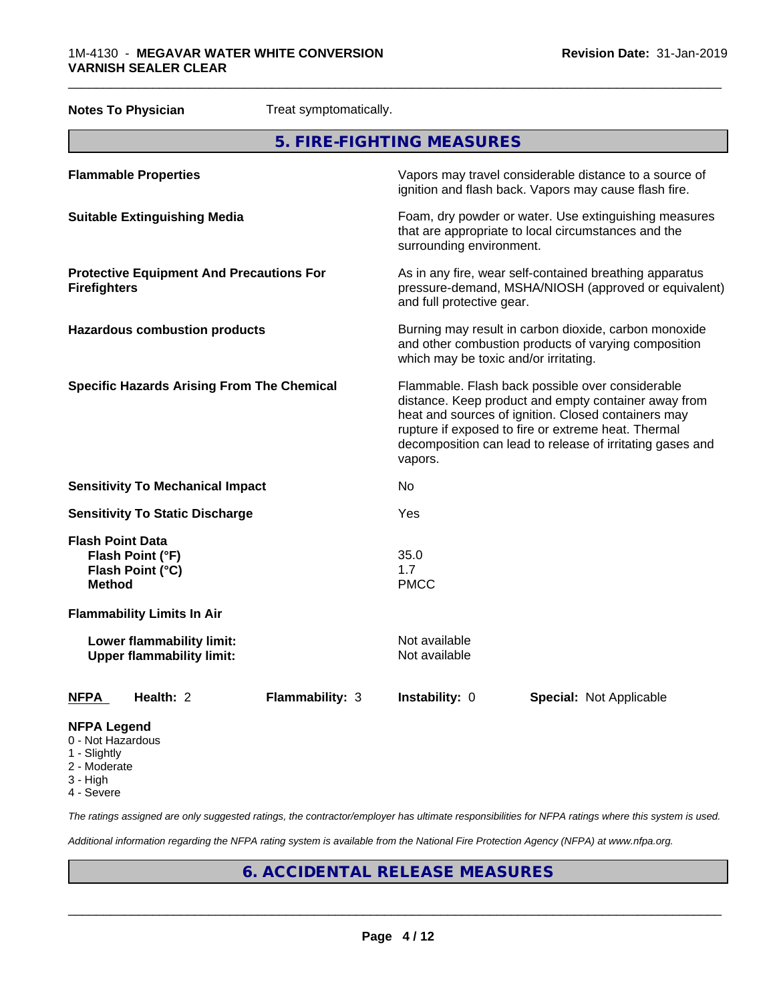#### 1M-4130 - **MEGAVAR WATER WHITE CONVERSION VARNISH SEALER CLEAR**

|                                          | <b>Notes To Physician</b>                                     | Treat symptomatically. |                                                                                                                                                                                                                                                                                                |                                                                                                                                                        |  |
|------------------------------------------|---------------------------------------------------------------|------------------------|------------------------------------------------------------------------------------------------------------------------------------------------------------------------------------------------------------------------------------------------------------------------------------------------|--------------------------------------------------------------------------------------------------------------------------------------------------------|--|
|                                          |                                                               |                        | 5. FIRE-FIGHTING MEASURES                                                                                                                                                                                                                                                                      |                                                                                                                                                        |  |
|                                          | <b>Flammable Properties</b>                                   |                        |                                                                                                                                                                                                                                                                                                | Vapors may travel considerable distance to a source of<br>ignition and flash back. Vapors may cause flash fire.                                        |  |
|                                          | <b>Suitable Extinguishing Media</b>                           |                        | surrounding environment.                                                                                                                                                                                                                                                                       | Foam, dry powder or water. Use extinguishing measures<br>that are appropriate to local circumstances and the                                           |  |
| <b>Firefighters</b>                      | <b>Protective Equipment And Precautions For</b>               |                        | and full protective gear.                                                                                                                                                                                                                                                                      | As in any fire, wear self-contained breathing apparatus<br>pressure-demand, MSHA/NIOSH (approved or equivalent)                                        |  |
|                                          | <b>Hazardous combustion products</b>                          |                        |                                                                                                                                                                                                                                                                                                | Burning may result in carbon dioxide, carbon monoxide<br>and other combustion products of varying composition<br>which may be toxic and/or irritating. |  |
|                                          | <b>Specific Hazards Arising From The Chemical</b>             |                        | Flammable. Flash back possible over considerable<br>distance. Keep product and empty container away from<br>heat and sources of ignition. Closed containers may<br>rupture if exposed to fire or extreme heat. Thermal<br>decomposition can lead to release of irritating gases and<br>vapors. |                                                                                                                                                        |  |
|                                          | <b>Sensitivity To Mechanical Impact</b>                       |                        | No.                                                                                                                                                                                                                                                                                            |                                                                                                                                                        |  |
|                                          | <b>Sensitivity To Static Discharge</b>                        |                        | Yes                                                                                                                                                                                                                                                                                            |                                                                                                                                                        |  |
| <b>Flash Point Data</b><br><b>Method</b> | Flash Point (°F)<br>Flash Point (°C)                          |                        | 35.0<br>1.7<br><b>PMCC</b>                                                                                                                                                                                                                                                                     |                                                                                                                                                        |  |
|                                          | <b>Flammability Limits In Air</b>                             |                        |                                                                                                                                                                                                                                                                                                |                                                                                                                                                        |  |
|                                          | Lower flammability limit:<br><b>Upper flammability limit:</b> |                        | Not available<br>Not available                                                                                                                                                                                                                                                                 |                                                                                                                                                        |  |
| <b>NFPA</b>                              | Health: 2                                                     | Flammability: 3        | Instability: 0                                                                                                                                                                                                                                                                                 | <b>Special: Not Applicable</b>                                                                                                                         |  |
| <b>NFPA Legend</b><br>0 - Not Hazardous  |                                                               |                        |                                                                                                                                                                                                                                                                                                |                                                                                                                                                        |  |

\_\_\_\_\_\_\_\_\_\_\_\_\_\_\_\_\_\_\_\_\_\_\_\_\_\_\_\_\_\_\_\_\_\_\_\_\_\_\_\_\_\_\_\_\_\_\_\_\_\_\_\_\_\_\_\_\_\_\_\_\_\_\_\_\_\_\_\_\_\_\_\_\_\_\_\_\_\_\_\_\_\_\_\_\_\_\_\_\_\_\_\_\_

- 1 Slightly
- 2 Moderate
- 3 High
- 4 Severe

*The ratings assigned are only suggested ratings, the contractor/employer has ultimate responsibilities for NFPA ratings where this system is used.*

*Additional information regarding the NFPA rating system is available from the National Fire Protection Agency (NFPA) at www.nfpa.org.*

# **6. ACCIDENTAL RELEASE MEASURES**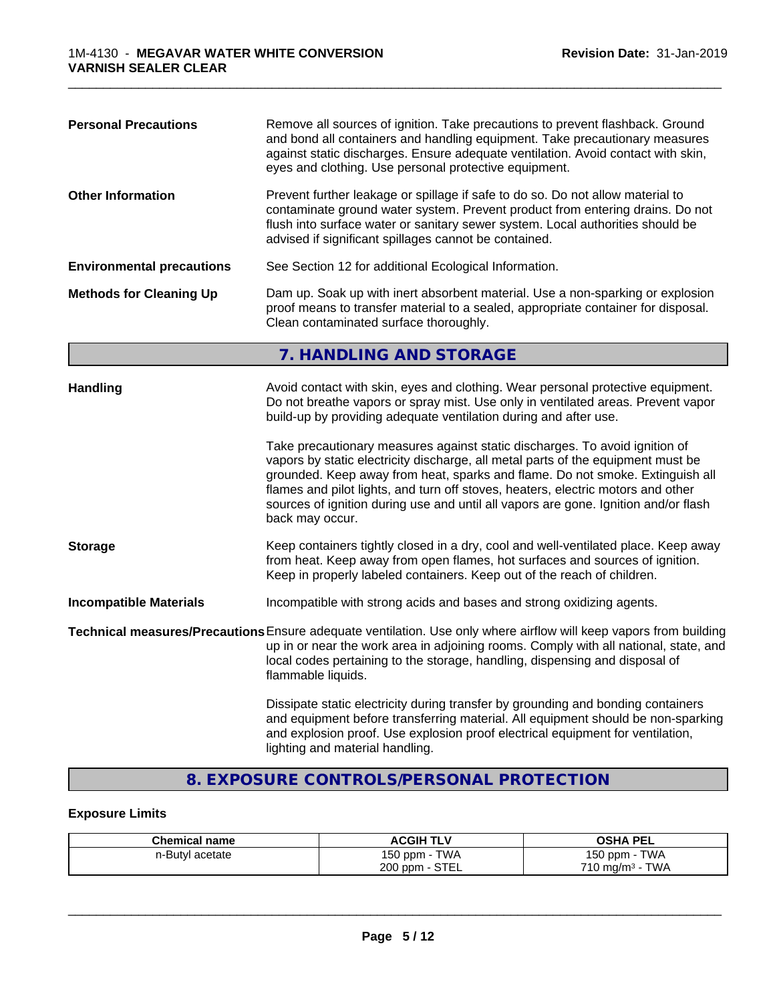| <b>Personal Precautions</b>      | Remove all sources of ignition. Take precautions to prevent flashback. Ground<br>and bond all containers and handling equipment. Take precautionary measures<br>against static discharges. Ensure adequate ventilation. Avoid contact with skin,<br>eyes and clothing. Use personal protective equipment.                                                                                                                                                                                                                                                                                                                                                                                 |
|----------------------------------|-------------------------------------------------------------------------------------------------------------------------------------------------------------------------------------------------------------------------------------------------------------------------------------------------------------------------------------------------------------------------------------------------------------------------------------------------------------------------------------------------------------------------------------------------------------------------------------------------------------------------------------------------------------------------------------------|
| <b>Other Information</b>         | Prevent further leakage or spillage if safe to do so. Do not allow material to<br>contaminate ground water system. Prevent product from entering drains. Do not<br>flush into surface water or sanitary sewer system. Local authorities should be<br>advised if significant spillages cannot be contained.                                                                                                                                                                                                                                                                                                                                                                                |
| <b>Environmental precautions</b> | See Section 12 for additional Ecological Information.                                                                                                                                                                                                                                                                                                                                                                                                                                                                                                                                                                                                                                     |
| <b>Methods for Cleaning Up</b>   | Dam up. Soak up with inert absorbent material. Use a non-sparking or explosion<br>proof means to transfer material to a sealed, appropriate container for disposal.<br>Clean contaminated surface thoroughly.                                                                                                                                                                                                                                                                                                                                                                                                                                                                             |
|                                  | 7. HANDLING AND STORAGE                                                                                                                                                                                                                                                                                                                                                                                                                                                                                                                                                                                                                                                                   |
| Handling                         | Avoid contact with skin, eyes and clothing. Wear personal protective equipment.<br>Do not breathe vapors or spray mist. Use only in ventilated areas. Prevent vapor<br>build-up by providing adequate ventilation during and after use.<br>Take precautionary measures against static discharges. To avoid ignition of<br>vapors by static electricity discharge, all metal parts of the equipment must be<br>grounded. Keep away from heat, sparks and flame. Do not smoke. Extinguish all<br>flames and pilot lights, and turn off stoves, heaters, electric motors and other<br>sources of ignition during use and until all vapors are gone. Ignition and/or flash<br>back may occur. |
| <b>Storage</b>                   | Keep containers tightly closed in a dry, cool and well-ventilated place. Keep away<br>from heat. Keep away from open flames, hot surfaces and sources of ignition.<br>Keep in properly labeled containers. Keep out of the reach of children.                                                                                                                                                                                                                                                                                                                                                                                                                                             |
| <b>Incompatible Materials</b>    | Incompatible with strong acids and bases and strong oxidizing agents.                                                                                                                                                                                                                                                                                                                                                                                                                                                                                                                                                                                                                     |
|                                  | Technical measures/Precautions Ensure adequate ventilation. Use only where airflow will keep vapors from building<br>up in or near the work area in adjoining rooms. Comply with all national, state, and<br>local codes pertaining to the storage, handling, dispensing and disposal of<br>flammable liquids.                                                                                                                                                                                                                                                                                                                                                                            |
|                                  | Dissipate static electricity during transfer by grounding and bonding containers<br>and equipment before transferring material. All equipment should be non-sparking                                                                                                                                                                                                                                                                                                                                                                                                                                                                                                                      |

\_\_\_\_\_\_\_\_\_\_\_\_\_\_\_\_\_\_\_\_\_\_\_\_\_\_\_\_\_\_\_\_\_\_\_\_\_\_\_\_\_\_\_\_\_\_\_\_\_\_\_\_\_\_\_\_\_\_\_\_\_\_\_\_\_\_\_\_\_\_\_\_\_\_\_\_\_\_\_\_\_\_\_\_\_\_\_\_\_\_\_\_\_

# **8. EXPOSURE CONTROLS/PERSONAL PROTECTION**

lighting and material handling.

and explosion proof. Use explosion proof electrical equipment for ventilation,

#### **Exposure Limits**

| <b>Chemical name</b> | <b>ACGIH TLV</b>         | <b>PEL</b><br>OSHA                   |
|----------------------|--------------------------|--------------------------------------|
| n-Butyl acetate      | 150 ppm -<br><b>TWA</b>  | <b>TWA</b><br>$150$ ppm $-$          |
|                      | <b>STEL</b><br>$200$ ppm | <b>TWA</b><br>$710 \text{ mg/m}^3$ - |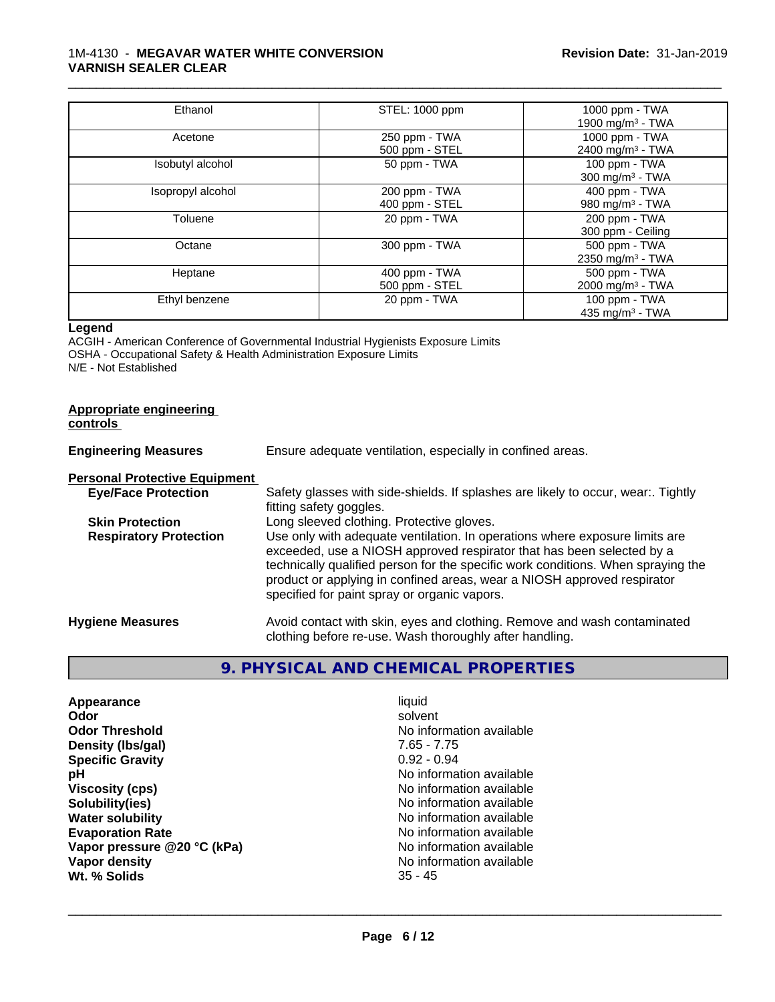#### 1M-4130 - **MEGAVAR WATER WHITE CONVERSION VARNISH SEALER CLEAR**

| Ethanol           | STEL: 1000 ppm | 1000 ppm - TWA               |
|-------------------|----------------|------------------------------|
|                   |                | 1900 mg/m $3$ - TWA          |
| Acetone           | 250 ppm - TWA  | 1000 ppm - TWA               |
|                   | 500 ppm - STEL | 2400 mg/m <sup>3</sup> - TWA |
| Isobutyl alcohol  | 50 ppm - TWA   | 100 ppm - TWA                |
|                   |                | $300 \text{ mg/m}^3$ - TWA   |
| Isopropyl alcohol | 200 ppm - TWA  | 400 ppm - TWA                |
|                   | 400 ppm - STEL | 980 mg/m $3$ - TWA           |
| Toluene           | 20 ppm - TWA   | 200 ppm - TWA                |
|                   |                | 300 ppm - Ceiling            |
| Octane            | 300 ppm - TWA  | 500 ppm - TWA                |
|                   |                | 2350 mg/m <sup>3</sup> - TWA |
| Heptane           | 400 ppm - TWA  | 500 ppm - TWA                |
|                   | 500 ppm - STEL | 2000 mg/m <sup>3</sup> - TWA |
| Ethyl benzene     | 20 ppm - TWA   | 100 ppm - TWA                |
|                   |                | 435 mg/m <sup>3</sup> - TWA  |

\_\_\_\_\_\_\_\_\_\_\_\_\_\_\_\_\_\_\_\_\_\_\_\_\_\_\_\_\_\_\_\_\_\_\_\_\_\_\_\_\_\_\_\_\_\_\_\_\_\_\_\_\_\_\_\_\_\_\_\_\_\_\_\_\_\_\_\_\_\_\_\_\_\_\_\_\_\_\_\_\_\_\_\_\_\_\_\_\_\_\_\_\_

#### **Legend**

ACGIH - American Conference of Governmental Industrial Hygienists Exposure Limits OSHA - Occupational Safety & Health Administration Exposure Limits N/E - Not Established

#### **Appropriate engineering controls**

| <b>Engineering Measures</b>          | Ensure adequate ventilation, especially in confined areas.                                                                                                                                                                                                                                                                                                          |  |
|--------------------------------------|---------------------------------------------------------------------------------------------------------------------------------------------------------------------------------------------------------------------------------------------------------------------------------------------------------------------------------------------------------------------|--|
| <b>Personal Protective Equipment</b> |                                                                                                                                                                                                                                                                                                                                                                     |  |
| <b>Eye/Face Protection</b>           | Safety glasses with side-shields. If splashes are likely to occur, wear:. Tightly<br>fitting safety goggles.                                                                                                                                                                                                                                                        |  |
| <b>Skin Protection</b>               | Long sleeved clothing. Protective gloves.                                                                                                                                                                                                                                                                                                                           |  |
| <b>Respiratory Protection</b>        | Use only with adequate ventilation. In operations where exposure limits are<br>exceeded, use a NIOSH approved respirator that has been selected by a<br>technically qualified person for the specific work conditions. When spraying the<br>product or applying in confined areas, wear a NIOSH approved respirator<br>specified for paint spray or organic vapors. |  |
| <b>Hygiene Measures</b>              | Avoid contact with skin, eyes and clothing. Remove and wash contaminated<br>clothing before re-use. Wash thoroughly after handling.                                                                                                                                                                                                                                 |  |

# **9. PHYSICAL AND CHEMICAL PROPERTIES**

| Appearance                  | liquid                   |
|-----------------------------|--------------------------|
| Odor                        | solvent                  |
| <b>Odor Threshold</b>       | No information available |
| Density (Ibs/gal)           | 7.65 - 7.75              |
| <b>Specific Gravity</b>     | $0.92 - 0.94$            |
| рH                          | No information available |
| <b>Viscosity (cps)</b>      | No information available |
| Solubility(ies)             | No information available |
| <b>Water solubility</b>     | No information available |
| <b>Evaporation Rate</b>     | No information available |
| Vapor pressure @20 °C (kPa) | No information available |
| Vapor density               | No information available |
| Wt. % Solids                | $35 - 45$                |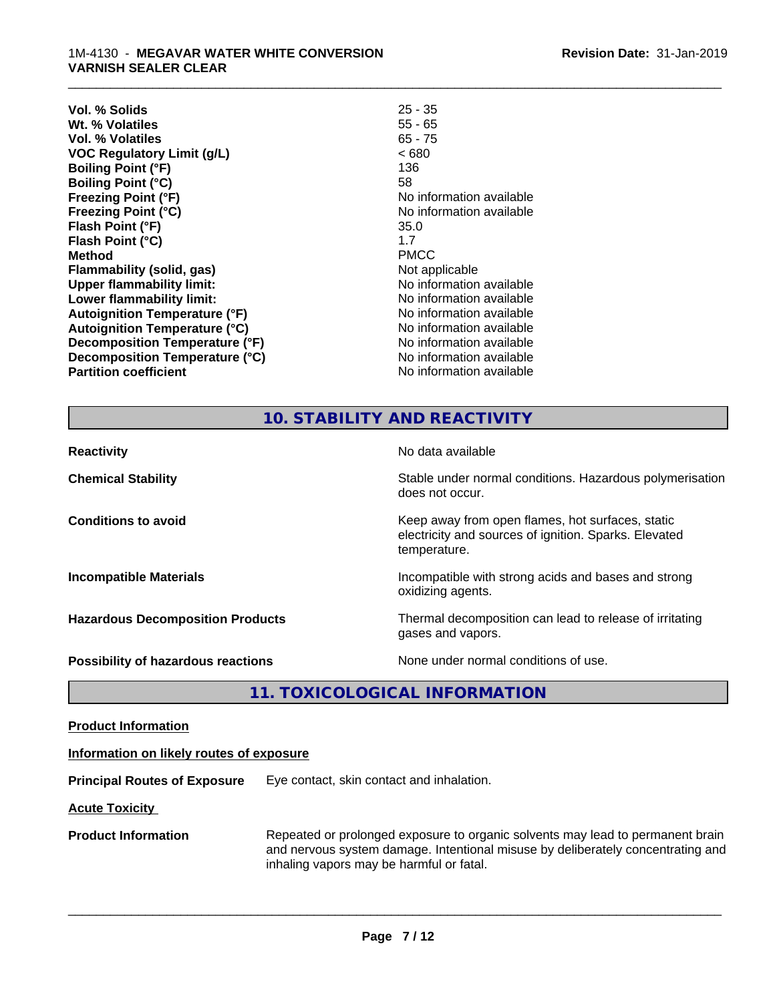| $25 - 35$                |
|--------------------------|
| $55 - 65$                |
| $65 - 75$                |
| < 680                    |
| 136                      |
| 58                       |
| No information available |
| No information available |
| 35.0                     |
| 1.7                      |
| <b>PMCC</b>              |
| Not applicable           |
| No information available |
| No information available |
| No information available |
| No information available |
| No information available |
| No information available |
| No information available |
|                          |

\_\_\_\_\_\_\_\_\_\_\_\_\_\_\_\_\_\_\_\_\_\_\_\_\_\_\_\_\_\_\_\_\_\_\_\_\_\_\_\_\_\_\_\_\_\_\_\_\_\_\_\_\_\_\_\_\_\_\_\_\_\_\_\_\_\_\_\_\_\_\_\_\_\_\_\_\_\_\_\_\_\_\_\_\_\_\_\_\_\_\_\_\_

#### **10. STABILITY AND REACTIVITY**

| <b>Reactivity</b>                         | No data available                                                                                                         |
|-------------------------------------------|---------------------------------------------------------------------------------------------------------------------------|
| <b>Chemical Stability</b>                 | Stable under normal conditions. Hazardous polymerisation<br>does not occur.                                               |
| <b>Conditions to avoid</b>                | Keep away from open flames, hot surfaces, static<br>electricity and sources of ignition. Sparks. Elevated<br>temperature. |
| <b>Incompatible Materials</b>             | Incompatible with strong acids and bases and strong<br>oxidizing agents.                                                  |
| <b>Hazardous Decomposition Products</b>   | Thermal decomposition can lead to release of irritating<br>gases and vapors.                                              |
| <b>Possibility of hazardous reactions</b> | None under normal conditions of use.                                                                                      |

**11. TOXICOLOGICAL INFORMATION**

**Product Information**

#### **Information on likely routes of exposure**

**Principal Routes of Exposure** Eye contact, skin contact and inhalation.

**Acute Toxicity** 

**Product Information** Repeated or prolonged exposure to organic solvents may lead to permanent brain and nervous system damage. Intentional misuse by deliberately concentrating and inhaling vapors may be harmful or fatal.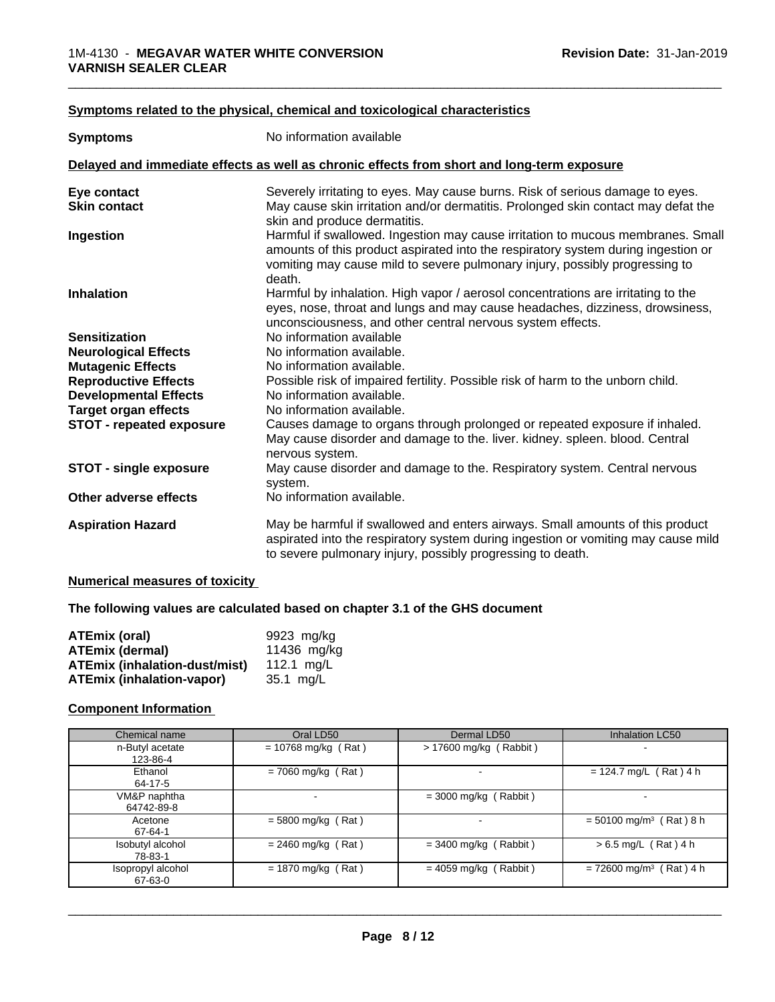#### **<u>Symptoms related to the physical, chemical and toxicological characteristics</u>**

| <b>Symptoms</b>                 | No information available                                                                                                                                                                                                                                      |
|---------------------------------|---------------------------------------------------------------------------------------------------------------------------------------------------------------------------------------------------------------------------------------------------------------|
|                                 | Delayed and immediate effects as well as chronic effects from short and long-term exposure                                                                                                                                                                    |
| Eye contact                     | Severely irritating to eyes. May cause burns. Risk of serious damage to eyes.                                                                                                                                                                                 |
| <b>Skin contact</b>             | May cause skin irritation and/or dermatitis. Prolonged skin contact may defat the<br>skin and produce dermatitis.                                                                                                                                             |
| Ingestion                       | Harmful if swallowed. Ingestion may cause irritation to mucous membranes. Small<br>amounts of this product aspirated into the respiratory system during ingestion or<br>vomiting may cause mild to severe pulmonary injury, possibly progressing to<br>death. |
| <b>Inhalation</b>               | Harmful by inhalation. High vapor / aerosol concentrations are irritating to the<br>eyes, nose, throat and lungs and may cause headaches, dizziness, drowsiness,<br>unconsciousness, and other central nervous system effects.                                |
| <b>Sensitization</b>            | No information available                                                                                                                                                                                                                                      |
| <b>Neurological Effects</b>     | No information available.                                                                                                                                                                                                                                     |
| <b>Mutagenic Effects</b>        | No information available.                                                                                                                                                                                                                                     |
| <b>Reproductive Effects</b>     | Possible risk of impaired fertility. Possible risk of harm to the unborn child.                                                                                                                                                                               |
| <b>Developmental Effects</b>    | No information available.                                                                                                                                                                                                                                     |
| <b>Target organ effects</b>     | No information available.                                                                                                                                                                                                                                     |
| <b>STOT - repeated exposure</b> | Causes damage to organs through prolonged or repeated exposure if inhaled.<br>May cause disorder and damage to the. liver. kidney. spleen. blood. Central<br>nervous system.                                                                                  |
| <b>STOT - single exposure</b>   | May cause disorder and damage to the. Respiratory system. Central nervous<br>system.                                                                                                                                                                          |
| Other adverse effects           | No information available.                                                                                                                                                                                                                                     |
| <b>Aspiration Hazard</b>        | May be harmful if swallowed and enters airways. Small amounts of this product<br>aspirated into the respiratory system during ingestion or vomiting may cause mild<br>to severe pulmonary injury, possibly progressing to death.                              |

#### **Numerical measures of toxicity**

**The following values are calculated based on chapter 3.1 of the GHS document**

| ATEmix (oral)                        | 9923 mg/kg  |
|--------------------------------------|-------------|
| <b>ATEmix (dermal)</b>               | 11436 mg/kg |
| <b>ATEmix (inhalation-dust/mist)</b> | 112.1 ma/L  |
| <b>ATEmix (inhalation-vapor)</b>     | 35.1 mg/L   |

#### **Component Information**

| Chemical name                | Oral LD50             | Dermal LD50              | Inhalation LC50                       |
|------------------------------|-----------------------|--------------------------|---------------------------------------|
| n-Butyl acetate<br>123-86-4  | $= 10768$ mg/kg (Rat) | $> 17600$ mg/kg (Rabbit) |                                       |
| Ethanol<br>64-17-5           | $= 7060$ mg/kg (Rat)  |                          | $= 124.7$ mg/L (Rat) 4 h              |
| VM&P naphtha<br>64742-89-8   | -                     | $=$ 3000 mg/kg (Rabbit)  |                                       |
| Acetone<br>67-64-1           | $=$ 5800 mg/kg (Rat)  | $\overline{\phantom{a}}$ | $=$ 50100 mg/m <sup>3</sup> (Rat) 8 h |
| Isobutyl alcohol<br>78-83-1  | $= 2460$ mg/kg (Rat)  | $=$ 3400 mg/kg (Rabbit)  | $> 6.5$ mg/L (Rat) 4 h                |
| Isopropyl alcohol<br>67-63-0 | $= 1870$ mg/kg (Rat)  | $= 4059$ mg/kg (Rabbit)  | $= 72600$ mg/m <sup>3</sup> (Rat) 4 h |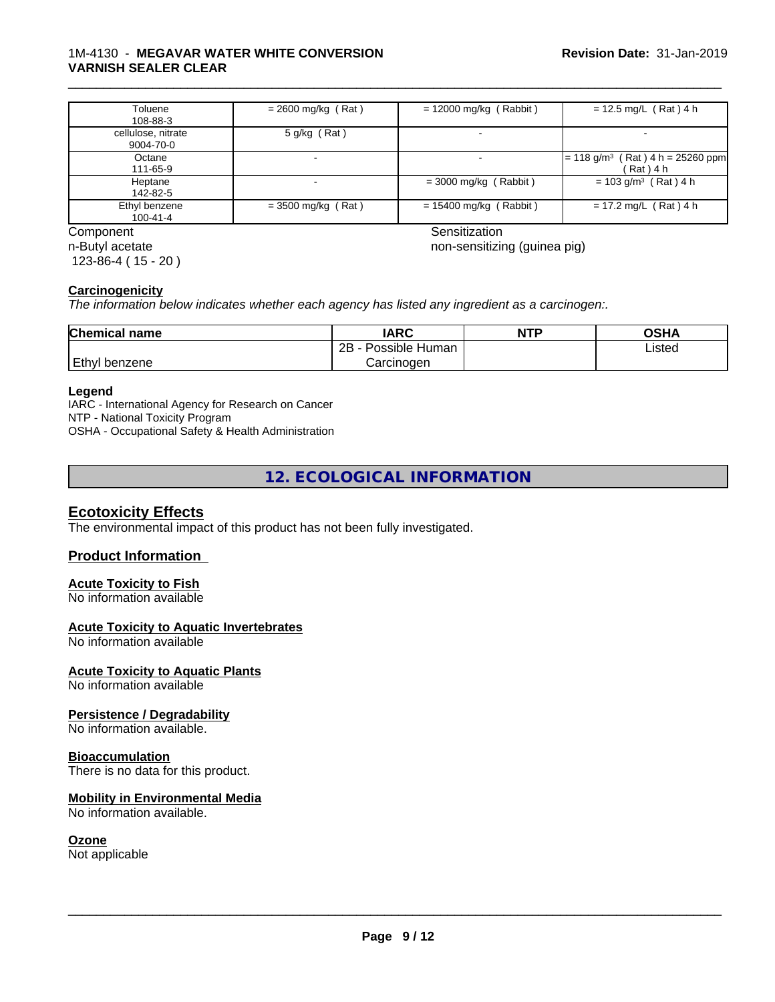#### 1M-4130 - **MEGAVAR WATER WHITE CONVERSION VARNISH SEALER CLEAR**

| Toluene<br>108-88-3             | $= 2600$ mg/kg (Rat)     | $= 12000$ mg/kg (Rabbit) | $= 12.5$ mg/L (Rat) 4 h                                         |
|---------------------------------|--------------------------|--------------------------|-----------------------------------------------------------------|
| cellulose, nitrate<br>9004-70-0 | 5 g/kg (Rat)             |                          |                                                                 |
| Octane<br>111-65-9              | $\overline{\phantom{a}}$ |                          | $(Rat)$ 4 h = 25260 ppm<br>$= 118$ g/m <sup>3</sup><br>(Rat)4 h |
| Heptane<br>142-82-5             |                          | $=$ 3000 mg/kg (Rabbit)  | $= 103$ g/m <sup>3</sup> (Rat) 4 h                              |
| Ethyl benzene<br>100-41-4       | $=$ 3500 mg/kg (Rat)     | $= 15400$ mg/kg (Rabbit) | $= 17.2$ mg/L (Rat) 4 h                                         |

n-Butyl acetate 123-86-4 ( 15 - 20 )

Component Sensitization

\_\_\_\_\_\_\_\_\_\_\_\_\_\_\_\_\_\_\_\_\_\_\_\_\_\_\_\_\_\_\_\_\_\_\_\_\_\_\_\_\_\_\_\_\_\_\_\_\_\_\_\_\_\_\_\_\_\_\_\_\_\_\_\_\_\_\_\_\_\_\_\_\_\_\_\_\_\_\_\_\_\_\_\_\_\_\_\_\_\_\_\_\_

non-sensitizing (guinea pig)

#### **Carcinogenicity**

*The information below indicateswhether each agency has listed any ingredient as a carcinogen:.*

| <b>Chemical name</b> | <b>IARC</b>               | <b>NTP</b> | OSHA   |
|----------------------|---------------------------|------------|--------|
|                      | .<br>2B<br>Possible Human |            | Listed |
| Ethyl<br>benzene     | Carcinogen                |            |        |

#### **Legend**

IARC - International Agency for Research on Cancer NTP - National Toxicity Program OSHA - Occupational Safety & Health Administration

**12. ECOLOGICAL INFORMATION**

#### **Ecotoxicity Effects**

The environmental impact of this product has not been fully investigated.

#### **Product Information**

#### **Acute Toxicity to Fish**

No information available

#### **Acute Toxicity to Aquatic Invertebrates**

No information available

#### **Acute Toxicity to Aquatic Plants**

No information available

#### **Persistence / Degradability**

No information available.

#### **Bioaccumulation**

There is no data for this product.

#### **Mobility in Environmental Media**

No information available.

#### **Ozone**

Not applicable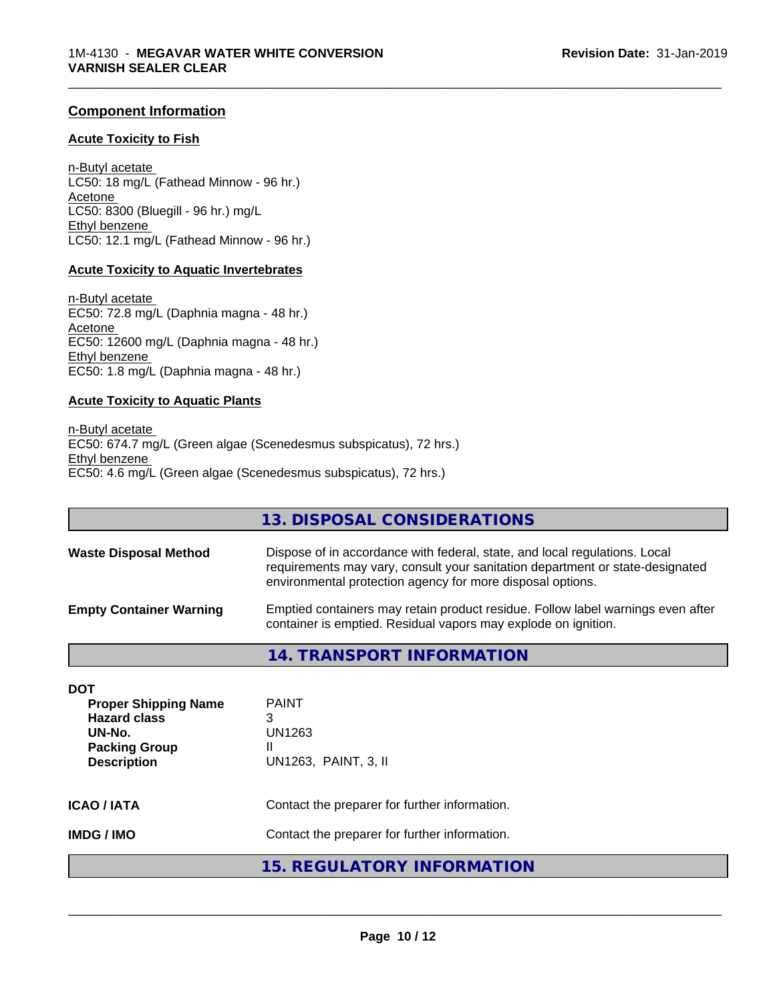#### **Component Information**

#### **Acute Toxicity to Fish**

n-Butyl acetate LC50: 18 mg/L (Fathead Minnow - 96 hr.) Acetone LC50: 8300 (Bluegill - 96 hr.) mg/L Ethyl benzene LC50: 12.1 mg/L (Fathead Minnow - 96 hr.)

#### **Acute Toxicity to Aquatic Invertebrates**

n-Butyl acetate EC50: 72.8 mg/L (Daphnia magna - 48 hr.) Acetone EC50: 12600 mg/L (Daphnia magna - 48 hr.) Ethyl benzene EC50: 1.8 mg/L (Daphnia magna - 48 hr.)

#### **Acute Toxicity to Aquatic Plants**

n-Butyl acetate EC50: 674.7 mg/L (Green algae (Scenedesmus subspicatus), 72 hrs.) Ethyl benzene EC50: 4.6 mg/L (Green algae (Scenedesmus subspicatus), 72 hrs.)

| <b>DOT</b><br><b>Proper Shipping Name</b> | <b>PAINT</b>                                                                                                                                                                                                              |
|-------------------------------------------|---------------------------------------------------------------------------------------------------------------------------------------------------------------------------------------------------------------------------|
|                                           | <b>14. TRANSPORT INFORMATION</b>                                                                                                                                                                                          |
| <b>Empty Container Warning</b>            | Emptied containers may retain product residue. Follow label warnings even after<br>container is emptied. Residual vapors may explode on ignition.                                                                         |
| <b>Waste Disposal Method</b>              | Dispose of in accordance with federal, state, and local regulations. Local<br>requirements may vary, consult your sanitation department or state-designated<br>environmental protection agency for more disposal options. |
|                                           | 13. DISPOSAL CONSIDERATIONS                                                                                                                                                                                               |

\_\_\_\_\_\_\_\_\_\_\_\_\_\_\_\_\_\_\_\_\_\_\_\_\_\_\_\_\_\_\_\_\_\_\_\_\_\_\_\_\_\_\_\_\_\_\_\_\_\_\_\_\_\_\_\_\_\_\_\_\_\_\_\_\_\_\_\_\_\_\_\_\_\_\_\_\_\_\_\_\_\_\_\_\_\_\_\_\_\_\_\_\_

| 1.1<br><b>Hazard class</b><br>UN-No.<br><b>Packing Group</b><br><b>Description</b> | .<br>3<br>UN1263<br>UN1263, PAINT, 3, II                                                       |  |
|------------------------------------------------------------------------------------|------------------------------------------------------------------------------------------------|--|
| <b>ICAO / IATA</b><br><b>IMDG / IMO</b>                                            | Contact the preparer for further information.<br>Contact the preparer for further information. |  |
|                                                                                    | 15. REGULATORY INFORMATION                                                                     |  |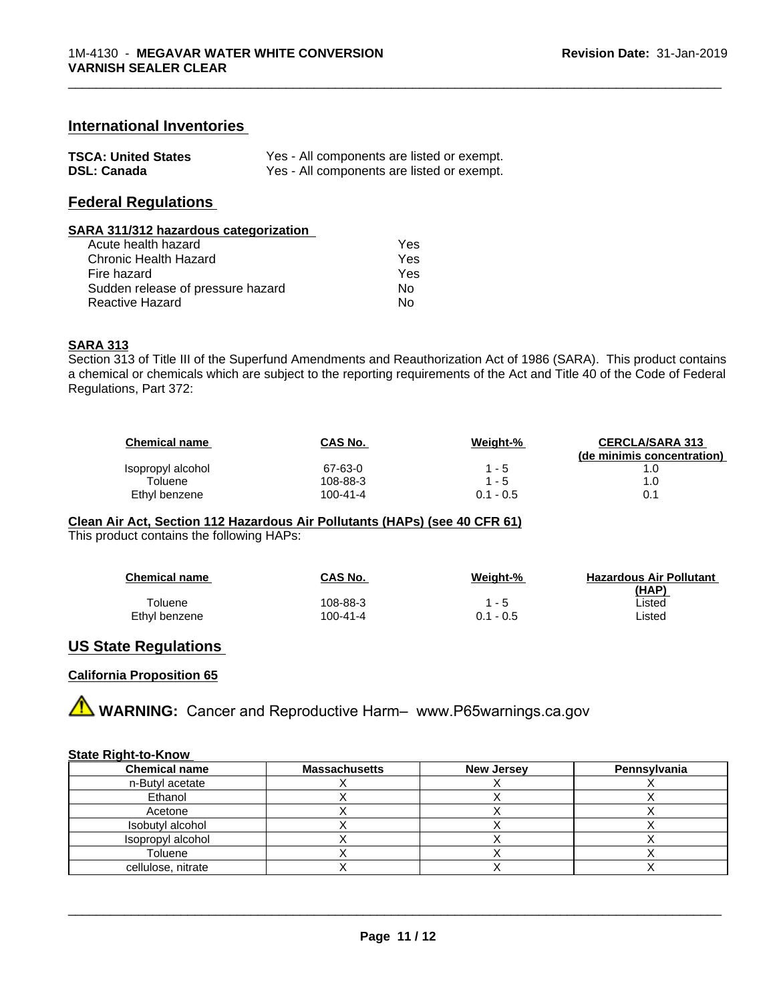#### **International Inventories**

| <b>TSCA: United States</b> | Yes - All components are listed or exempt. |
|----------------------------|--------------------------------------------|
| <b>DSL: Canada</b>         | Yes - All components are listed or exempt. |

## **Federal Regulations**

#### **SARA 311/312 hazardous categorization**

| Acute health hazard               | Yes |
|-----------------------------------|-----|
| Chronic Health Hazard             | Yes |
| Fire hazard                       | Yes |
| Sudden release of pressure hazard | Nο  |
| Reactive Hazard                   | N٥  |

#### **SARA 313**

Section 313 of Title III of the Superfund Amendments and Reauthorization Act of 1986 (SARA). This product contains a chemical or chemicals which are subject to the reporting requirements of the Act and Title 40 of the Code of Federal Regulations, Part 372:

| <b>Chemical name</b> | CAS No.  | Weight-%    | <b>CERCLA/SARA 313</b>     |
|----------------------|----------|-------------|----------------------------|
|                      |          |             | (de minimis concentration) |
| Isopropyl alcohol    | 67-63-0  | - 5         |                            |
| Toluene              | 108-88-3 | $1 - 5$     | 1.0                        |
| Ethyl benzene        | 100-41-4 | $0.1 - 0.5$ | 0.1                        |

\_\_\_\_\_\_\_\_\_\_\_\_\_\_\_\_\_\_\_\_\_\_\_\_\_\_\_\_\_\_\_\_\_\_\_\_\_\_\_\_\_\_\_\_\_\_\_\_\_\_\_\_\_\_\_\_\_\_\_\_\_\_\_\_\_\_\_\_\_\_\_\_\_\_\_\_\_\_\_\_\_\_\_\_\_\_\_\_\_\_\_\_\_

## **Clean Air Act,Section 112 Hazardous Air Pollutants (HAPs) (see 40 CFR 61)**

This product contains the following HAPs:

| <b>Chemical name</b> | <b>CAS No.</b> | Weight-%    | <b>Hazardous Air Pollutant</b> |
|----------------------|----------------|-------------|--------------------------------|
|                      |                |             | <u>(HAP)</u>                   |
| Toluene              | 108-88-3       | - 5         | ∟isted                         |
| Ethyl benzene        | 100-41-4       | $0.1 - 0.5$ | ∟isted                         |

#### **US State Regulations**

#### **California Proposition 65**

**A WARNING:** Cancer and Reproductive Harm– www.P65warnings.ca.gov

#### **State Right-to-Know**

| <b>Chemical name</b> | <b>Massachusetts</b> | <b>New Jersey</b> | Pennsylvania |
|----------------------|----------------------|-------------------|--------------|
| n-Butyl acetate      |                      |                   |              |
| Ethanol              |                      |                   |              |
| Acetone              |                      |                   |              |
| Isobutyl alcohol     |                      |                   |              |
| Isopropyl alcohol    |                      |                   |              |
| Toluene              |                      |                   |              |
| cellulose, nitrate   |                      |                   |              |